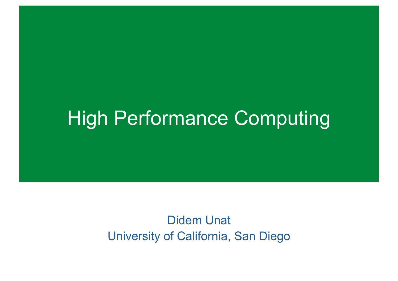### High Performance Computing

Didem Unat University of California, San Diego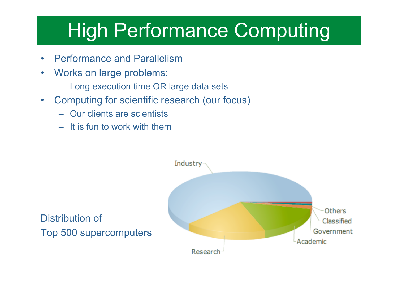# High Performance Computing

- Performance and Parallelism
- Works on large problems:
	- Long execution time OR large data sets
- Computing for scientific research (our focus)
	- Our clients are scientists
	- It is fun to work with them

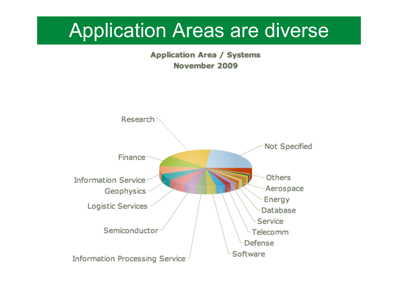#### Application Areas are diverse

**Application Area / Systems** November 2009

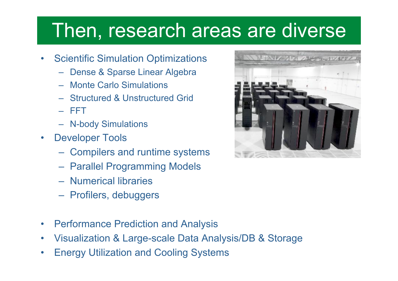### Then, research areas are diverse

- Scientific Simulation Optimizations
	- Dense & Sparse Linear Algebra
	- Monte Carlo Simulations
	- Structured & Unstructured Grid
	- FFT
	- N-body Simulations
- Developer Tools
	- Compilers and runtime systems
	- Parallel Programming Models
	- Numerical libraries
	- Profilers, debuggers
- Performance Prediction and Analysis
- Visualization & Large-scale Data Analysis/DB & Storage
- Energy Utilization and Cooling Systems

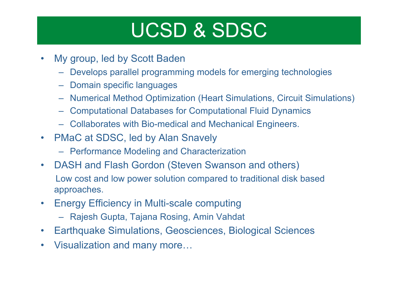# UCSD & SDSC

- My group, led by Scott Baden
	- Develops parallel programming models for emerging technologies
	- Domain specific languages
	- Numerical Method Optimization (Heart Simulations, Circuit Simulations)
	- Computational Databases for Computational Fluid Dynamics
	- Collaborates with Bio-medical and Mechanical Engineers.
- PMaC at SDSC, led by Alan Snavely
	- Performance Modeling and Characterization
- DASH and Flash Gordon (Steven Swanson and others) Low cost and low power solution compared to traditional disk based approaches.
- Energy Efficiency in Multi-scale computing
	- Rajesh Gupta, Tajana Rosing, Amin Vahdat
- Earthquake Simulations, Geosciences, Biological Sciences
- Visualization and many more…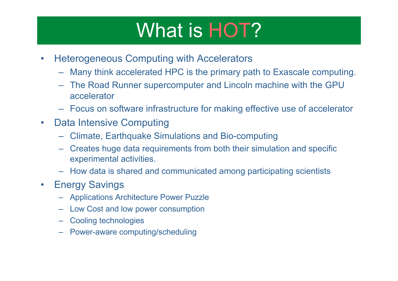# What is HOT?

- Heterogeneous Computing with Accelerators
	- Many think accelerated HPC is the primary path to Exascale computing.
	- The Road Runner supercomputer and Lincoln machine with the GPU accelerator
	- Focus on software infrastructure for making effective use of accelerator
- Data Intensive Computing
	- Climate, Earthquake Simulations and Bio-computing
	- Creates huge data requirements from both their simulation and specific experimental activities.
	- How data is shared and communicated among participating scientists
- Energy Savings
	- Applications Architecture Power Puzzle
	- Low Cost and low power consumption
	- Cooling technologies
	- Power-aware computing/scheduling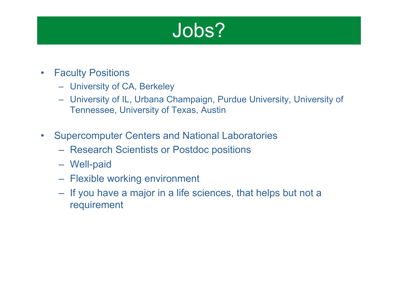

- Faculty Positions
	- University of CA, Berkeley
	- University of IL, Urbana Champaign, Purdue University, University of Tennessee, University of Texas, Austin
- Supercomputer Centers and National Laboratories
	- Research Scientists or Postdoc positions
	- Well-paid
	- Flexible working environment
	- If you have a major in a life sciences, that helps but not a requirement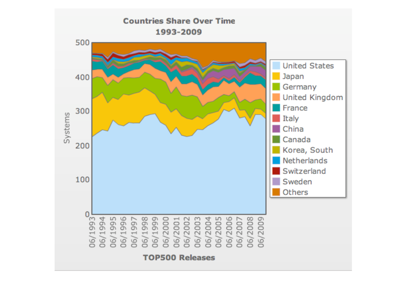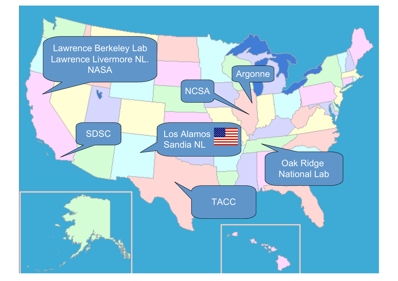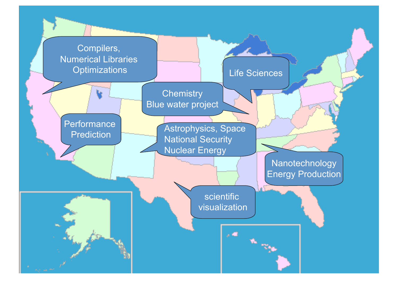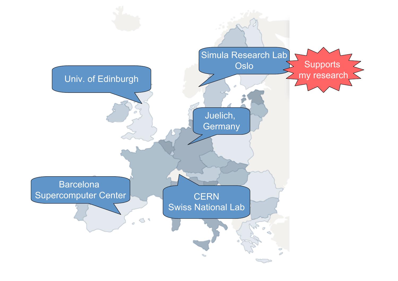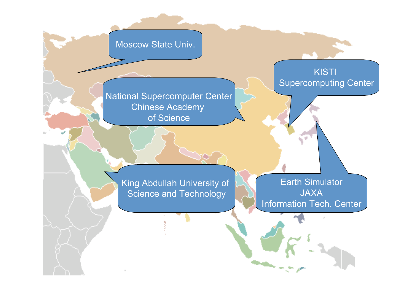